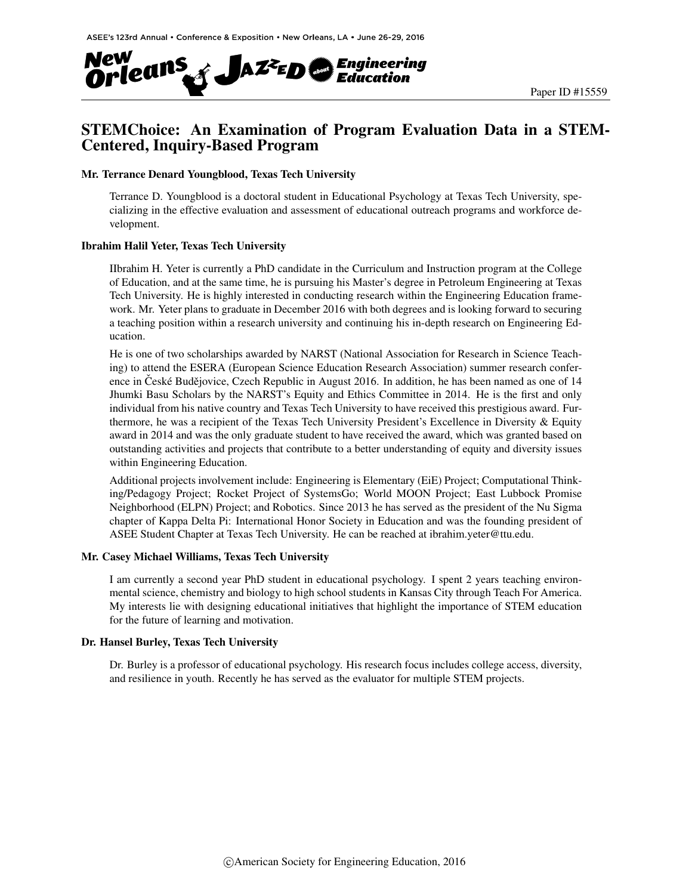

## STEMChoice: An Examination of Program Evaluation Data in a STEM-Centered, Inquiry-Based Program

#### Mr. Terrance Denard Youngblood, Texas Tech University

Terrance D. Youngblood is a doctoral student in Educational Psychology at Texas Tech University, specializing in the effective evaluation and assessment of educational outreach programs and workforce development.

#### Ibrahim Halil Yeter, Texas Tech University

IIbrahim H. Yeter is currently a PhD candidate in the Curriculum and Instruction program at the College of Education, and at the same time, he is pursuing his Master's degree in Petroleum Engineering at Texas Tech University. He is highly interested in conducting research within the Engineering Education framework. Mr. Yeter plans to graduate in December 2016 with both degrees and is looking forward to securing a teaching position within a research university and continuing his in-depth research on Engineering Education.

He is one of two scholarships awarded by NARST (National Association for Research in Science Teaching) to attend the ESERA (European Science Education Research Association) summer research conference in České Budějovice, Czech Republic in August 2016. In addition, he has been named as one of 14 Jhumki Basu Scholars by the NARST's Equity and Ethics Committee in 2014. He is the first and only individual from his native country and Texas Tech University to have received this prestigious award. Furthermore, he was a recipient of the Texas Tech University President's Excellence in Diversity & Equity award in 2014 and was the only graduate student to have received the award, which was granted based on outstanding activities and projects that contribute to a better understanding of equity and diversity issues within Engineering Education.

Additional projects involvement include: Engineering is Elementary (EiE) Project; Computational Thinking/Pedagogy Project; Rocket Project of SystemsGo; World MOON Project; East Lubbock Promise Neighborhood (ELPN) Project; and Robotics. Since 2013 he has served as the president of the Nu Sigma chapter of Kappa Delta Pi: International Honor Society in Education and was the founding president of ASEE Student Chapter at Texas Tech University. He can be reached at ibrahim.yeter@ttu.edu.

#### Mr. Casey Michael Williams, Texas Tech University

I am currently a second year PhD student in educational psychology. I spent 2 years teaching environmental science, chemistry and biology to high school students in Kansas City through Teach For America. My interests lie with designing educational initiatives that highlight the importance of STEM education for the future of learning and motivation.

#### Dr. Hansel Burley, Texas Tech University

Dr. Burley is a professor of educational psychology. His research focus includes college access, diversity, and resilience in youth. Recently he has served as the evaluator for multiple STEM projects.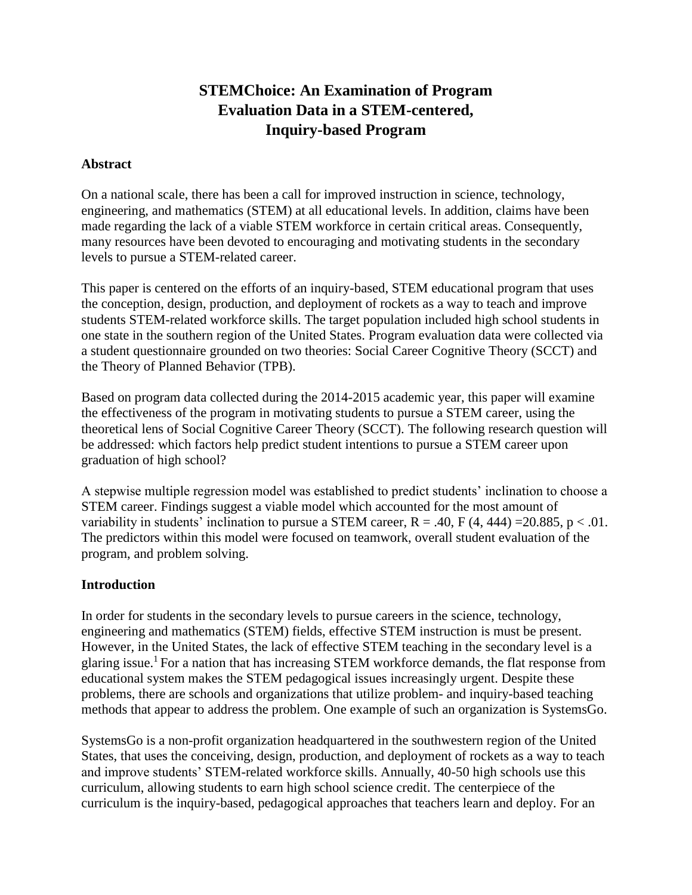# **STEMChoice: An Examination of Program Evaluation Data in a STEM-centered, Inquiry-based Program**

#### **Abstract**

On a national scale, there has been a call for improved instruction in science, technology, engineering, and mathematics (STEM) at all educational levels. In addition, claims have been made regarding the lack of a viable STEM workforce in certain critical areas. Consequently, many resources have been devoted to encouraging and motivating students in the secondary levels to pursue a STEM-related career.

This paper is centered on the efforts of an inquiry-based, STEM educational program that uses the conception, design, production, and deployment of rockets as a way to teach and improve students STEM-related workforce skills. The target population included high school students in one state in the southern region of the United States. Program evaluation data were collected via a student questionnaire grounded on two theories: Social Career Cognitive Theory (SCCT) and the Theory of Planned Behavior (TPB).

Based on program data collected during the 2014-2015 academic year, this paper will examine the effectiveness of the program in motivating students to pursue a STEM career, using the theoretical lens of Social Cognitive Career Theory (SCCT). The following research question will be addressed: which factors help predict student intentions to pursue a STEM career upon graduation of high school?

A stepwise multiple regression model was established to predict students' inclination to choose a STEM career. Findings suggest a viable model which accounted for the most amount of variability in students' inclination to pursue a STEM career,  $R = .40$ ,  $F(4, 444) = 20.885$ ,  $p < .01$ . The predictors within this model were focused on teamwork, overall student evaluation of the program, and problem solving.

#### **Introduction**

In order for students in the secondary levels to pursue careers in the science, technology, engineering and mathematics (STEM) fields, effective STEM instruction is must be present. However, in the United States, the lack of effective STEM teaching in the secondary level is a glaring issue.<sup>1</sup> For a nation that has increasing STEM workforce demands, the flat response from educational system makes the STEM pedagogical issues increasingly urgent. Despite these problems, there are schools and organizations that utilize problem- and inquiry-based teaching methods that appear to address the problem. One example of such an organization is SystemsGo.

SystemsGo is a non-profit organization headquartered in the southwestern region of the United States, that uses the conceiving, design, production, and deployment of rockets as a way to teach and improve students' STEM-related workforce skills. Annually, 40-50 high schools use this curriculum, allowing students to earn high school science credit. The centerpiece of the curriculum is the inquiry-based, pedagogical approaches that teachers learn and deploy. For an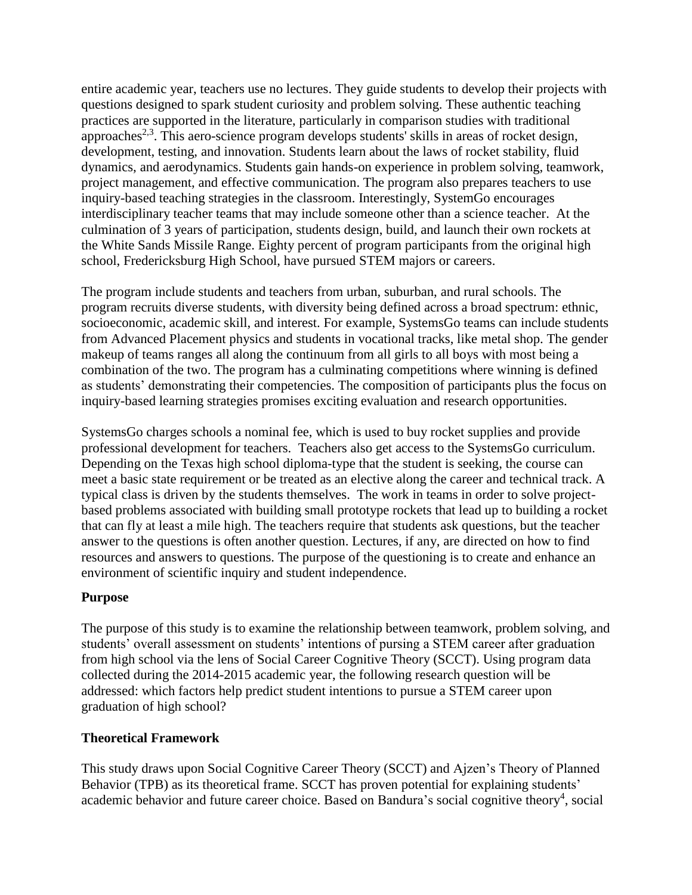entire academic year, teachers use no lectures. They guide students to develop their projects with questions designed to spark student curiosity and problem solving. These authentic teaching practices are supported in the literature, particularly in comparison studies with traditional approaches<sup>2,3</sup>. This aero-science program develops students' skills in areas of rocket design, development, testing, and innovation. Students learn about the laws of rocket stability, fluid dynamics, and aerodynamics. Students gain hands-on experience in problem solving, teamwork, project management, and effective communication. The program also prepares teachers to use inquiry-based teaching strategies in the classroom. Interestingly, SystemGo encourages interdisciplinary teacher teams that may include someone other than a science teacher. At the culmination of 3 years of participation, students design, build, and launch their own rockets at the White Sands Missile Range. Eighty percent of program participants from the original high school, Fredericksburg High School, have pursued STEM majors or careers.

The program include students and teachers from urban, suburban, and rural schools. The program recruits diverse students, with diversity being defined across a broad spectrum: ethnic, socioeconomic, academic skill, and interest. For example, SystemsGo teams can include students from Advanced Placement physics and students in vocational tracks, like metal shop. The gender makeup of teams ranges all along the continuum from all girls to all boys with most being a combination of the two. The program has a culminating competitions where winning is defined as students' demonstrating their competencies. The composition of participants plus the focus on inquiry-based learning strategies promises exciting evaluation and research opportunities.

SystemsGo charges schools a nominal fee, which is used to buy rocket supplies and provide professional development for teachers. Teachers also get access to the SystemsGo curriculum. Depending on the Texas high school diploma-type that the student is seeking, the course can meet a basic state requirement or be treated as an elective along the career and technical track. A typical class is driven by the students themselves. The work in teams in order to solve projectbased problems associated with building small prototype rockets that lead up to building a rocket that can fly at least a mile high. The teachers require that students ask questions, but the teacher answer to the questions is often another question. Lectures, if any, are directed on how to find resources and answers to questions. The purpose of the questioning is to create and enhance an environment of scientific inquiry and student independence.

### **Purpose**

The purpose of this study is to examine the relationship between teamwork, problem solving, and students' overall assessment on students' intentions of pursing a STEM career after graduation from high school via the lens of Social Career Cognitive Theory (SCCT). Using program data collected during the 2014-2015 academic year, the following research question will be addressed: which factors help predict student intentions to pursue a STEM career upon graduation of high school?

#### **Theoretical Framework**

This study draws upon Social Cognitive Career Theory (SCCT) and Ajzen's Theory of Planned Behavior (TPB) as its theoretical frame. SCCT has proven potential for explaining students' academic behavior and future career choice. Based on Bandura's social cognitive theory<sup>4</sup>, social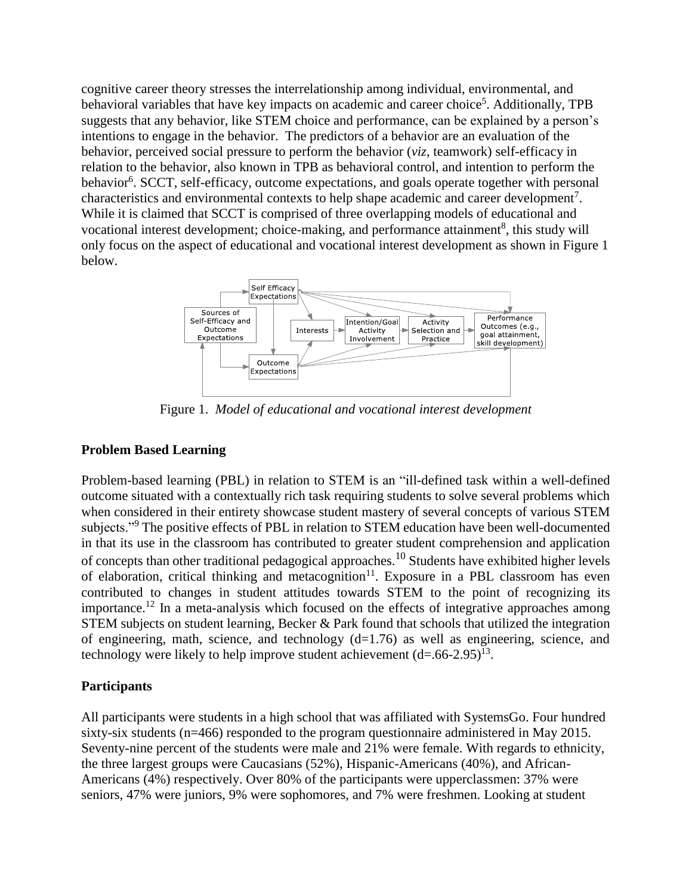cognitive career theory stresses the interrelationship among individual, environmental, and behavioral variables that have key impacts on academic and career choice<sup>5</sup>. Additionally, TPB suggests that any behavior, like STEM choice and performance, can be explained by a person's intentions to engage in the behavior. The predictors of a behavior are an evaluation of the behavior, perceived social pressure to perform the behavior (*viz*, teamwork) self-efficacy in relation to the behavior, also known in TPB as behavioral control, and intention to perform the behavior<sup>6</sup>. SCCT, self-efficacy, outcome expectations, and goals operate together with personal characteristics and environmental contexts to help shape academic and career development<sup>7</sup>. While it is claimed that SCCT is comprised of three overlapping models of educational and vocational interest development; choice-making, and performance attainment<sup>8</sup>, this study will only focus on the aspect of educational and vocational interest development as shown in Figure 1 below.



Figure 1. *Model of educational and vocational interest development*

## **Problem Based Learning**

Problem-based learning (PBL) in relation to STEM is an "ill-defined task within a well-defined outcome situated with a contextually rich task requiring students to solve several problems which when considered in their entirety showcase student mastery of several concepts of various STEM subjects."<sup>9</sup> The positive effects of PBL in relation to STEM education have been well-documented in that its use in the classroom has contributed to greater student comprehension and application of concepts than other traditional pedagogical approaches.<sup>10</sup> Students have exhibited higher levels of elaboration, critical thinking and metacognition<sup>11</sup>. Exposure in a PBL classroom has even contributed to changes in student attitudes towards STEM to the point of recognizing its importance.<sup>12</sup> In a meta-analysis which focused on the effects of integrative approaches among STEM subjects on student learning, Becker & Park found that schools that utilized the integration of engineering, math, science, and technology  $(d=1.76)$  as well as engineering, science, and technology were likely to help improve student achievement  $(d=.66-2.95)^{13}$ .

## **Participants**

All participants were students in a high school that was affiliated with SystemsGo. Four hundred sixty-six students (n=466) responded to the program questionnaire administered in May 2015. Seventy-nine percent of the students were male and 21% were female. With regards to ethnicity, the three largest groups were Caucasians (52%), Hispanic-Americans (40%), and African-Americans (4%) respectively. Over 80% of the participants were upperclassmen: 37% were seniors, 47% were juniors, 9% were sophomores, and 7% were freshmen. Looking at student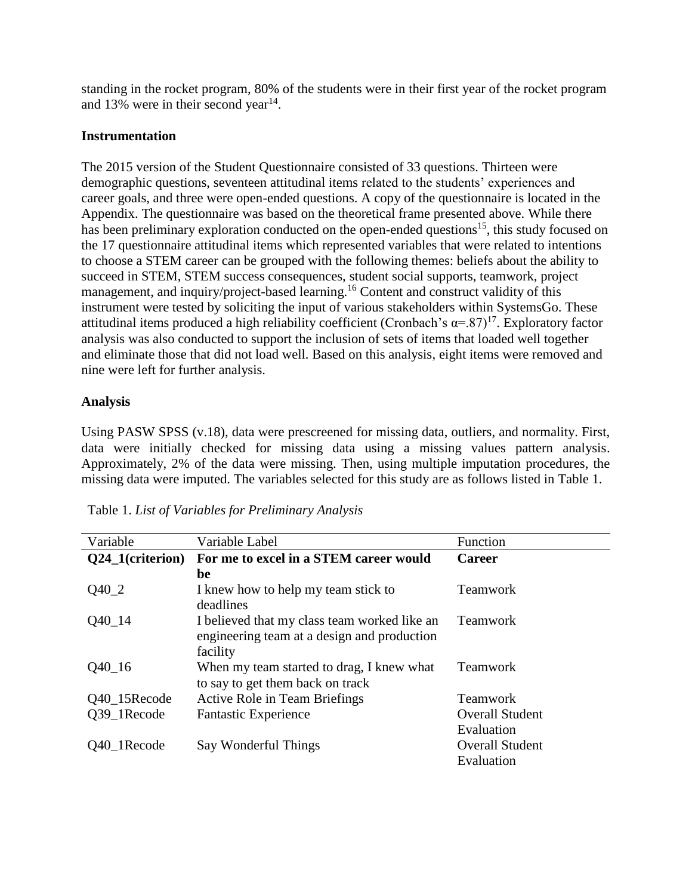standing in the rocket program, 80% of the students were in their first year of the rocket program and 13% were in their second year<sup>14</sup>.

#### **Instrumentation**

The 2015 version of the Student Questionnaire consisted of 33 questions. Thirteen were demographic questions, seventeen attitudinal items related to the students' experiences and career goals, and three were open-ended questions. A copy of the questionnaire is located in the Appendix. The questionnaire was based on the theoretical frame presented above. While there has been preliminary exploration conducted on the open-ended questions<sup>15</sup>, this study focused on the 17 questionnaire attitudinal items which represented variables that were related to intentions to choose a STEM career can be grouped with the following themes: beliefs about the ability to succeed in STEM, STEM success consequences, student social supports, teamwork, project management, and inquiry/project-based learning.<sup>16</sup> Content and construct validity of this instrument were tested by soliciting the input of various stakeholders within SystemsGo. These attitudinal items produced a high reliability coefficient (Cronbach's  $\alpha = .87$ )<sup>17</sup>. Exploratory factor analysis was also conducted to support the inclusion of sets of items that loaded well together and eliminate those that did not load well. Based on this analysis, eight items were removed and nine were left for further analysis.

#### **Analysis**

Using PASW SPSS (v.18), data were prescreened for missing data, outliers, and normality. First, data were initially checked for missing data using a missing values pattern analysis. Approximately, 2% of the data were missing. Then, using multiple imputation procedures, the missing data were imputed. The variables selected for this study are as follows listed in Table 1.

| Variable         | Variable Label                               | Function               |  |  |  |
|------------------|----------------------------------------------|------------------------|--|--|--|
| Q24_1(criterion) | For me to excel in a STEM career would       | <b>Career</b>          |  |  |  |
|                  | be                                           |                        |  |  |  |
| $Q40_2$          | I knew how to help my team stick to          | Teamwork               |  |  |  |
|                  | deadlines                                    |                        |  |  |  |
| $Q40_114$        | I believed that my class team worked like an | <b>Teamwork</b>        |  |  |  |
|                  | engineering team at a design and production  |                        |  |  |  |
|                  | facility                                     |                        |  |  |  |
| $Q40_16$         | When my team started to drag, I knew what    | <b>Teamwork</b>        |  |  |  |
|                  | to say to get them back on track             |                        |  |  |  |
| Q40_15Recode     | <b>Active Role in Team Briefings</b>         | <b>Teamwork</b>        |  |  |  |
| Q39_1Recode      | <b>Fantastic Experience</b>                  | <b>Overall Student</b> |  |  |  |
|                  |                                              | Evaluation             |  |  |  |
| Q40 1Recode      | Say Wonderful Things                         | <b>Overall Student</b> |  |  |  |
|                  |                                              | Evaluation             |  |  |  |

Table 1. *List of Variables for Preliminary Analysis*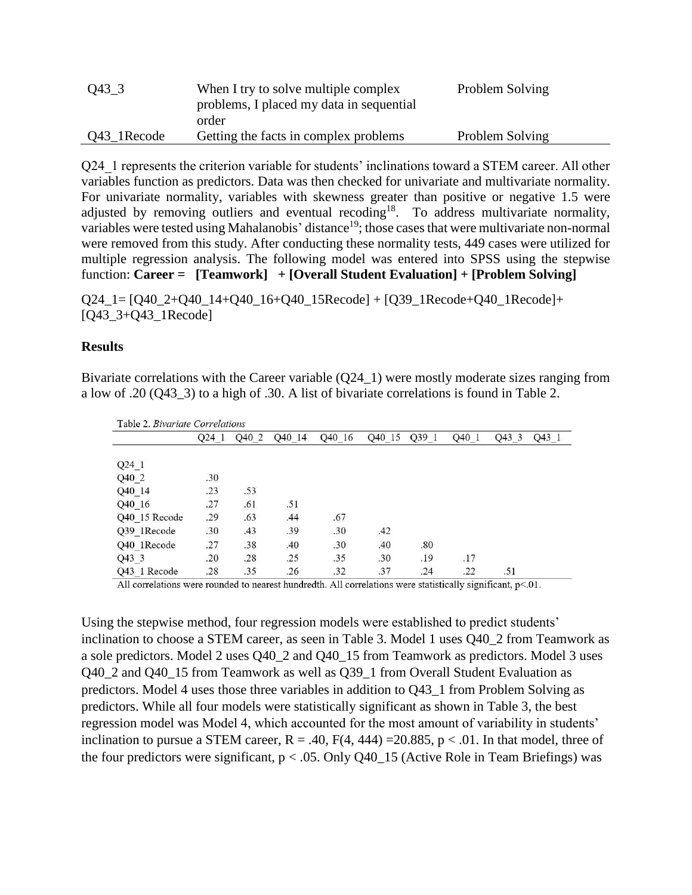| $Q43\_3$    | When I try to solve multiple complex<br>problems, I placed my data in sequential | Problem Solving |  |
|-------------|----------------------------------------------------------------------------------|-----------------|--|
|             | order                                                                            |                 |  |
| Q43 1Recode | Getting the facts in complex problems                                            | Problem Solving |  |

Q24. 1 represents the criterion variable for students' inclinations toward a STEM career. All other variables function as predictors. Data was then checked for univariate and multivariate normality. For univariate normality, variables with skewness greater than positive or negative 1.5 were adjusted by removing outliers and eventual recoding<sup>18</sup>. To address multivariate normality, variables were tested using Mahalanobis' distance<sup>19</sup>; those cases that were multivariate non-normal were removed from this study. After conducting these normality tests, 449 cases were utilized for multiple regression analysis. The following model was entered into SPSS using the stepwise function: **Career = [Teamwork] + [Overall Student Evaluation] + [Problem Solving]**

 $Q24\_1 = [Q40\_2+Q40\_14+Q40\_16+Q40\_15Recode] + [Q39\_1Recode+Q40\_1Recode] +$ [Q43\_3+Q43\_1Recode]

#### **Results**

Bivariate correlations with the Career variable (Q24\_1) were mostly moderate sizes ranging from a low of .20 (Q43\_3) to a high of .30. A list of bivariate correlations is found in Table 2.

| Table 2. Bivariate Correlations |       |       |                    |        |        |       |       |       |       |
|---------------------------------|-------|-------|--------------------|--------|--------|-------|-------|-------|-------|
|                                 | Q24 1 | Q40 2 | O <sub>40</sub> 14 | Q40 16 | Q40 15 | Q39 1 | Q40 1 | Q43 3 | Q43 1 |
|                                 |       |       |                    |        |        |       |       |       |       |
| Q24 1                           |       |       |                    |        |        |       |       |       |       |
| Q40 2                           | .30   |       |                    |        |        |       |       |       |       |
| Q40_14                          | .23   | .53   |                    |        |        |       |       |       |       |
| Q40_16                          | .27   | .61   | .51                |        |        |       |       |       |       |
| Q40 15 Recode                   | .29   | .63   | .44                | .67    |        |       |       |       |       |
| Q39 1Recode                     | .30   | .43   | .39                | .30    | .42    |       |       |       |       |
| Q40 1Recode                     | .27   | .38   | .40                | .30    | .40    | .80   |       |       |       |
| Q43 3                           | .20   | .28   | .25                | .35    | .30    | .19   | .17   |       |       |
| Q43 1 Recode                    | .28   | .35   | .26                | .32    | .37    | .24   | .22   | .51   |       |

All correlations were rounded to nearest hundredth. All correlations were statistically significant, p<.01.

Using the stepwise method, four regression models were established to predict students' inclination to choose a STEM career, as seen in Table 3. Model 1 uses Q40\_2 from Teamwork as a sole predictors. Model 2 uses Q40\_2 and Q40\_15 from Teamwork as predictors. Model 3 uses Q40\_2 and Q40\_15 from Teamwork as well as Q39\_1 from Overall Student Evaluation as predictors. Model 4 uses those three variables in addition to Q43\_1 from Problem Solving as predictors. While all four models were statistically significant as shown in Table 3, the best regression model was Model 4, which accounted for the most amount of variability in students' inclination to pursue a STEM career,  $R = .40$ ,  $F(4, 444) = 20.885$ ,  $p < .01$ . In that model, three of the four predictors were significant,  $p < .05$ . Only Q40\_15 (Active Role in Team Briefings) was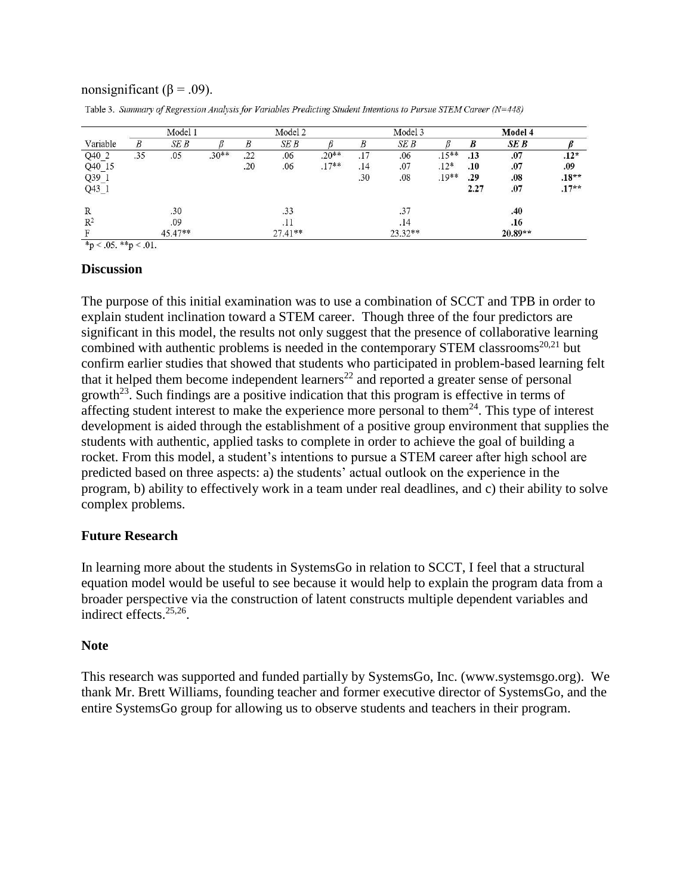#### nonsignificant ( $\beta$  = .09).

Table 3. Summary of Regression Analysis for Variables Predicting Student Intentions to Pursue STEM Career (N=448)

| Model 1 |                         |                  | Model 2 |           |         | Model 3 |           |         | Model 4 |           |         |
|---------|-------------------------|------------------|---------|-----------|---------|---------|-----------|---------|---------|-----------|---------|
| B       | SE B                    |                  | B       | SE B      |         | B       | SEB       |         | B       | SE B      |         |
| .35     |                         | $.30**$          | .22     | .06       | $.20**$ | .17     | .06       | $.15**$ | .13     | .07       | $.12*$  |
|         |                         |                  | .20     |           | $.17**$ | .14     | .07       | $.12*$  | .10     | .07       | .09     |
|         |                         |                  |         |           |         |         |           | $.19**$ | .29     | .08       | $.18**$ |
|         |                         |                  |         |           |         |         |           |         | 2.27    | .07       | $.17**$ |
|         | .30                     |                  |         | .33       |         |         | .37       |         |         | .40       |         |
|         | .09                     |                  |         | .11       |         |         | .14       |         |         | .16       |         |
|         |                         |                  |         | $27.41**$ |         |         | $23.32**$ |         |         | $20.89**$ |         |
|         | $*_p$ < .05. **p < .01. | .05<br>$45.47**$ |         |           | .06     |         | .30       | .08     |         |           |         |

#### **Discussion**

The purpose of this initial examination was to use a combination of SCCT and TPB in order to explain student inclination toward a STEM career. Though three of the four predictors are significant in this model, the results not only suggest that the presence of collaborative learning combined with authentic problems is needed in the contemporary STEM classrooms<sup>20,21</sup> but confirm earlier studies that showed that students who participated in problem-based learning felt that it helped them become independent learners<sup>22</sup> and reported a greater sense of personal growth<sup>23</sup>. Such findings are a positive indication that this program is effective in terms of affecting student interest to make the experience more personal to them<sup>24</sup>. This type of interest development is aided through the establishment of a positive group environment that supplies the students with authentic, applied tasks to complete in order to achieve the goal of building a rocket. From this model, a student's intentions to pursue a STEM career after high school are predicted based on three aspects: a) the students' actual outlook on the experience in the program, b) ability to effectively work in a team under real deadlines, and c) their ability to solve complex problems.

#### **Future Research**

In learning more about the students in SystemsGo in relation to SCCT, I feel that a structural equation model would be useful to see because it would help to explain the program data from a broader perspective via the construction of latent constructs multiple dependent variables and indirect effects.25,26 .

#### **Note**

This research was supported and funded partially by SystemsGo, Inc. [\(www.systemsgo.org\)](http://www.systemsgo.org/). We thank Mr. Brett Williams, founding teacher and former executive director of SystemsGo, and the entire SystemsGo group for allowing us to observe students and teachers in their program.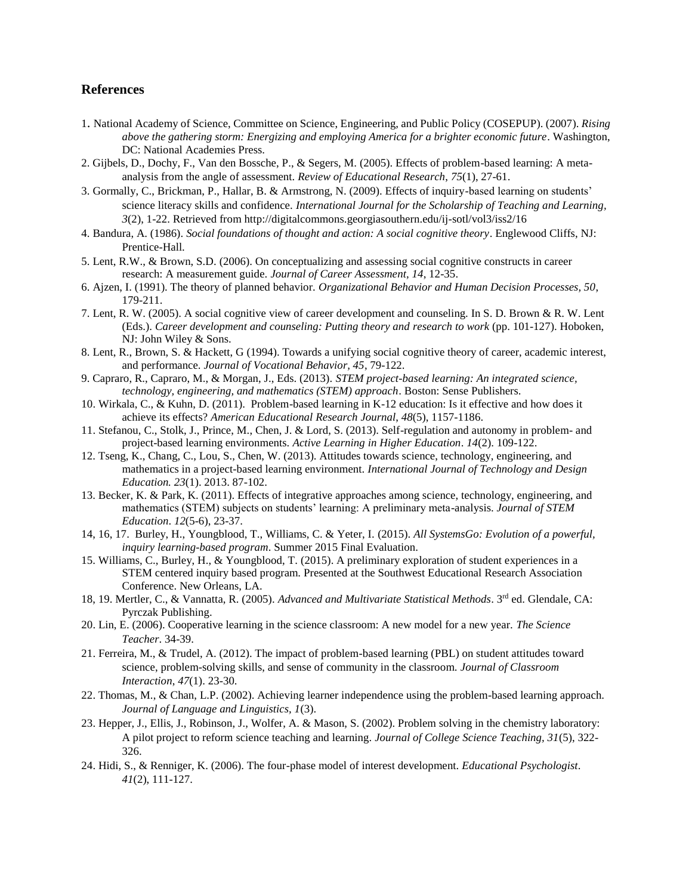#### **References**

- 1. National Academy of Science, Committee on Science, Engineering, and Public Policy (COSEPUP). (2007). *Rising above the gathering storm: Energizing and employing America for a brighter economic future*. Washington, DC: National Academies Press.
- 2. Gijbels, D., Dochy, F., Van den Bossche, P., & Segers, M. (2005). Effects of problem-based learning: A metaanalysis from the angle of assessment. *Review of Educational Research*, *75*(1), 27-61.
- 3. Gormally, C., Brickman, P., Hallar, B. & Armstrong, N. (2009). Effects of inquiry-based learning on students' science literacy skills and confidence. *International Journal for the Scholarship of Teaching and Learning, 3*(2), 1-22. Retrieved from http://digitalcommons.georgiasouthern.edu/ij-sotl/vol3/iss2/16
- 4. Bandura, A. (1986). *Social foundations of thought and action: A social cognitive theory*. Englewood Cliffs, NJ: Prentice-Hall.
- 5. Lent, R.W., & Brown, S.D. (2006). On conceptualizing and assessing social cognitive constructs in career research: A measurement guide. *Journal of Career Assessment, 14*, 12-35.
- 6. Ajzen, I. (1991). The theory of planned behavior. *Organizational Behavior and Human Decision Processes, 50*, 179-211.
- 7. Lent, R. W. (2005). A social cognitive view of career development and counseling. In S. D. Brown & R. W. Lent (Eds.). *Career development and counseling: Putting theory and research to work* (pp. 101-127). Hoboken, NJ: John Wiley & Sons.
- 8. Lent, R., Brown, S. & Hackett, G (1994). Towards a unifying social cognitive theory of career, academic interest, and performance. *Journal of Vocational Behavior, 45*, 79-122.
- 9. Capraro, R., Capraro, M., & Morgan, J., Eds. (2013). *STEM project-based learning: An integrated science, technology, engineering, and mathematics (STEM) approach*. Boston: Sense Publishers.
- 10. Wirkala, C., & Kuhn, D. (2011). Problem-based learning in K-12 education: Is it effective and how does it achieve its effects? *American Educational Research Journal*, *48*(5), 1157-1186.
- 11. Stefanou, C., Stolk, J., Prince, M., Chen, J. & Lord, S. (2013). Self-regulation and autonomy in problem- and project-based learning environments. *Active Learning in Higher Education*. *14*(2). 109-122.
- 12. Tseng, K., Chang, C., Lou, S., Chen, W. (2013). Attitudes towards science, technology, engineering, and mathematics in a project-based learning environment. *International Journal of Technology and Design Education. 23*(1). 2013. 87-102.
- 13. Becker, K. & Park, K. (2011). Effects of integrative approaches among science, technology, engineering, and mathematics (STEM) subjects on students' learning: A preliminary meta-analysis. *Journal of STEM Education*. *12*(5-6), 23-37.
- 14, 16, 17. Burley, H., Youngblood, T., Williams, C. & Yeter, I. (2015). *All SystemsGo: Evolution of a powerful, inquiry learning-based program*. Summer 2015 Final Evaluation.
- 15. Williams, C., Burley, H., & Youngblood, T. (2015). A preliminary exploration of student experiences in a STEM centered inquiry based program. Presented at the Southwest Educational Research Association Conference. New Orleans, LA.
- 18, 19. Mertler, C., & Vannatta, R. (2005). *Advanced and Multivariate Statistical Methods*. 3rd ed. Glendale, CA: Pyrczak Publishing.
- 20. Lin, E. (2006). Cooperative learning in the science classroom: A new model for a new year. *The Science Teacher*. 34-39.
- 21. Ferreira, M., & Trudel, A. (2012). The impact of problem-based learning (PBL) on student attitudes toward science, problem-solving skills, and sense of community in the classroom. *Journal of Classroom Interaction*, *47*(1). 23-30.
- 22. Thomas, M., & Chan, L.P. (2002). Achieving learner independence using the problem-based learning approach. *Journal of Language and Linguistics, 1*(3).
- 23. Hepper, J., Ellis, J., Robinson, J., Wolfer, A. & Mason, S. (2002). Problem solving in the chemistry laboratory: A pilot project to reform science teaching and learning. *Journal of College Science Teaching, 31*(5), 322- 326.
- 24. Hidi, S., & Renniger, K. (2006). The four-phase model of interest development. *Educational Psychologist*. *41*(2), 111-127.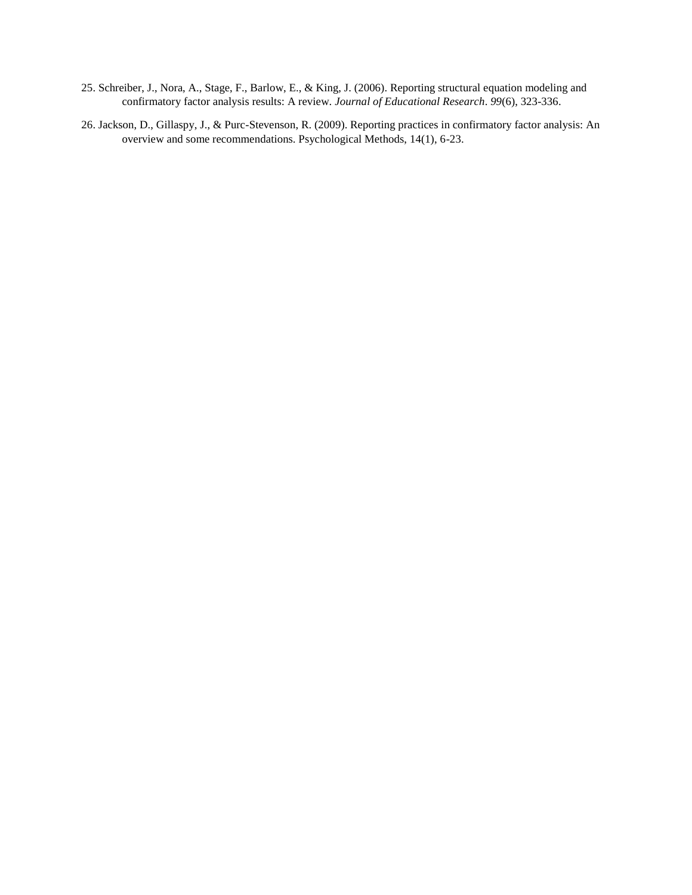- 25. Schreiber, J., Nora, A., Stage, F., Barlow, E., & King, J. (2006). Reporting structural equation modeling and confirmatory factor analysis results: A review. *Journal of Educational Research*. *99*(6), 323-336.
- 26. Jackson, D., Gillaspy, J., & Purc-Stevenson, R. (2009). Reporting practices in confirmatory factor analysis: An overview and some recommendations. Psychological Methods, 14(1), 6-23.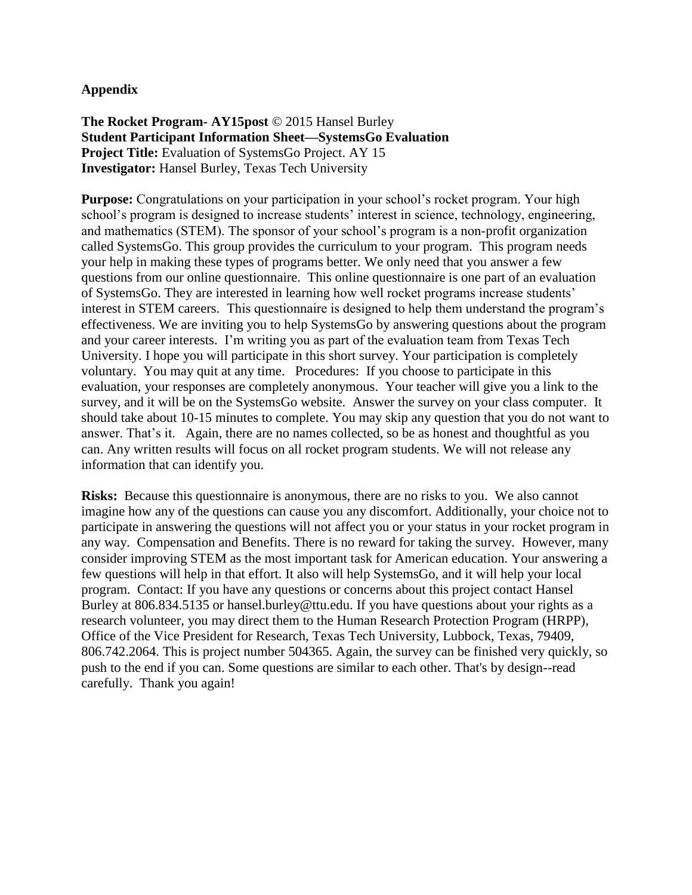#### **Appendix**

**The Rocket Program- AY15post** © 2015 Hansel Burley **Student Participant Information Sheet—SystemsGo Evaluation Project Title:** Evaluation of SystemsGo Project. AY 15 **Investigator:** Hansel Burley, Texas Tech University

**Purpose:** Congratulations on your participation in your school's rocket program. Your high school's program is designed to increase students' interest in science, technology, engineering, and mathematics (STEM). The sponsor of your school's program is a non-profit organization called SystemsGo. This group provides the curriculum to your program. This program needs your help in making these types of programs better. We only need that you answer a few questions from our online questionnaire. This online questionnaire is one part of an evaluation of SystemsGo. They are interested in learning how well rocket programs increase students' interest in STEM careers. This questionnaire is designed to help them understand the program's effectiveness. We are inviting you to help SystemsGo by answering questions about the program and your career interests. I'm writing you as part of the evaluation team from Texas Tech University. I hope you will participate in this short survey. Your participation is completely voluntary. You may quit at any time. Procedures: If you choose to participate in this evaluation, your responses are completely anonymous. Your teacher will give you a link to the survey, and it will be on the SystemsGo website. Answer the survey on your class computer. It should take about 10-15 minutes to complete. You may skip any question that you do not want to answer. That's it. Again, there are no names collected, so be as honest and thoughtful as you can. Any written results will focus on all rocket program students. We will not release any information that can identify you.

**Risks:** Because this questionnaire is anonymous, there are no risks to you. We also cannot imagine how any of the questions can cause you any discomfort. Additionally, your choice not to participate in answering the questions will not affect you or your status in your rocket program in any way. Compensation and Benefits. There is no reward for taking the survey. However, many consider improving STEM as the most important task for American education. Your answering a few questions will help in that effort. It also will help SystemsGo, and it will help your local program. Contact: If you have any questions or concerns about this project contact Hansel Burley at 806.834.5135 or hansel.burley@ttu.edu. If you have questions about your rights as a research volunteer, you may direct them to the Human Research Protection Program (HRPP), Office of the Vice President for Research, Texas Tech University, Lubbock, Texas, 79409, 806.742.2064. This is project number 504365. Again, the survey can be finished very quickly, so push to the end if you can. Some questions are similar to each other. That's by design--read carefully. Thank you again!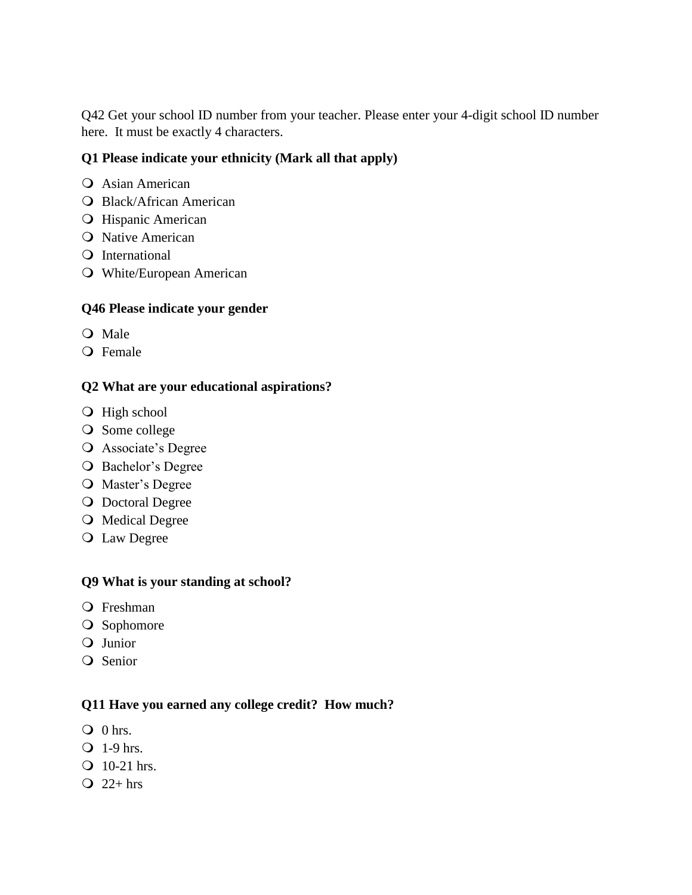Q42 Get your school ID number from your teacher. Please enter your 4-digit school ID number here. It must be exactly 4 characters.

## **Q1 Please indicate your ethnicity (Mark all that apply)**

- O Asian American
- Black/African American
- **O** Hispanic American
- **O** Native American
- Q International
- White/European American

## **Q46 Please indicate your gender**

- O Male
- Q Female

## **Q2 What are your educational aspirations?**

- O High school
- O Some college
- Associate's Degree
- O Bachelor's Degree
- Master's Degree
- **O** Doctoral Degree
- O Medical Degree
- Law Degree

### **Q9 What is your standing at school?**

- Freshman
- O Sophomore
- Q Junior
- Q Senior

### **Q11 Have you earned any college credit? How much?**

- $\overline{Q}$  0 hrs.
- $\overline{O}$  1-9 hrs.
- $\overline{O}$  10-21 hrs.
- $Q$  22+ hrs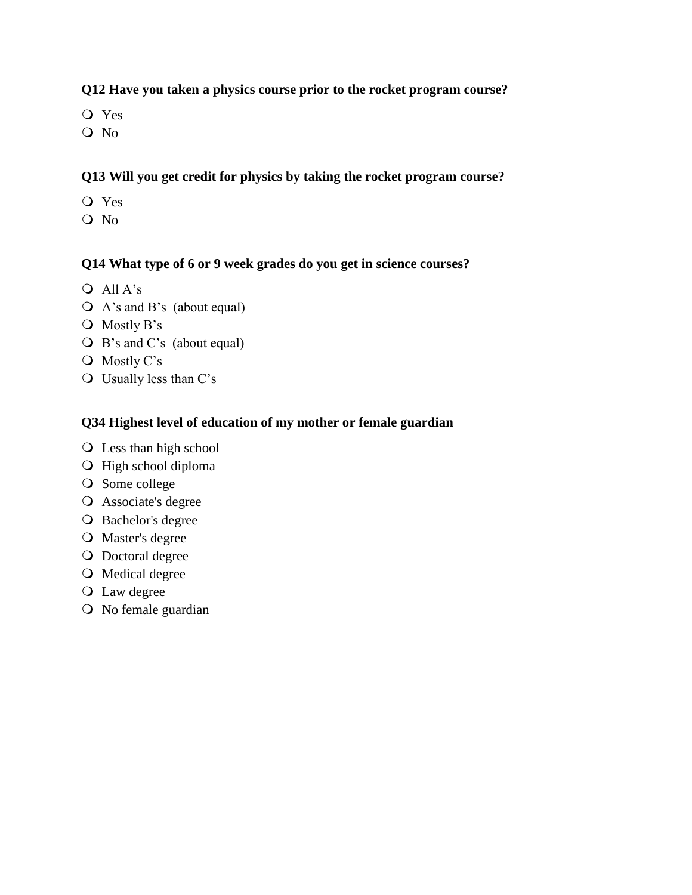## **Q12 Have you taken a physics course prior to the rocket program course?**

- Yes
- O No

## **Q13 Will you get credit for physics by taking the rocket program course?**

- Yes
- Q No

## **Q14 What type of 6 or 9 week grades do you get in science courses?**

- All A's
- A's and B's (about equal)
- O Mostly B's
- B's and C's (about equal)
- O Mostly C's
- Usually less than C's

## **Q34 Highest level of education of my mother or female guardian**

- Less than high school
- $\bigcirc$  High school diploma
- O Some college
- Associate's degree
- O Bachelor's degree
- Master's degree
- O Doctoral degree
- O Medical degree
- Law degree
- O No female guardian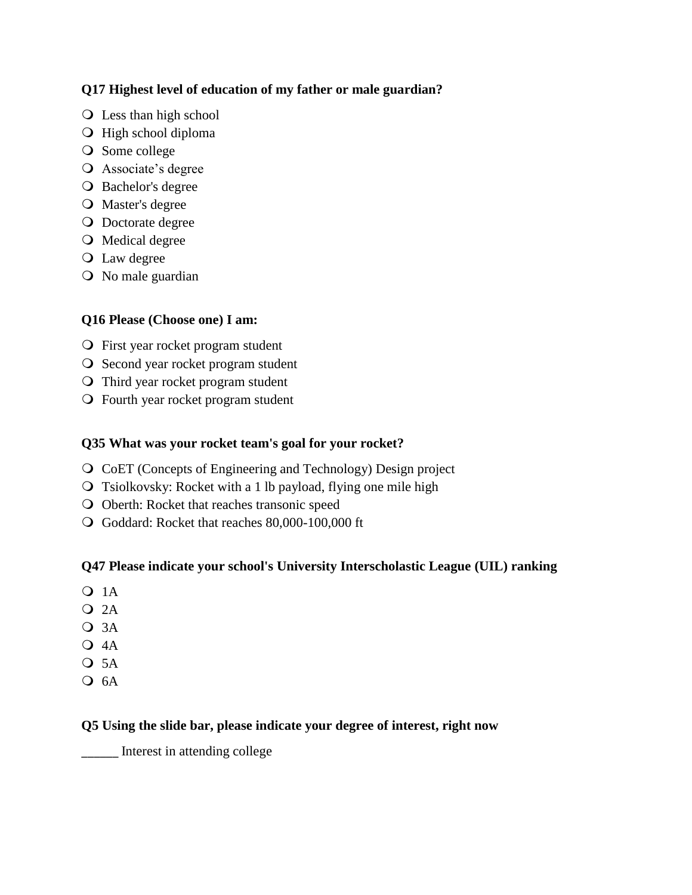## **Q17 Highest level of education of my father or male guardian?**

- Less than high school
- O High school diploma
- O Some college
- Associate's degree
- O Bachelor's degree
- Master's degree
- O Doctorate degree
- Medical degree
- Law degree
- O No male guardian

## **Q16 Please (Choose one) I am:**

- First year rocket program student
- O Second year rocket program student
- Third year rocket program student
- Fourth year rocket program student

## **Q35 What was your rocket team's goal for your rocket?**

- CoET (Concepts of Engineering and Technology) Design project
- Tsiolkovsky: Rocket with a 1 lb payload, flying one mile high
- Oberth: Rocket that reaches transonic speed
- Goddard: Rocket that reaches 80,000-100,000 ft

### **Q47 Please indicate your school's University Interscholastic League (UIL) ranking**

- **O** 1A
- $Q$  2A
- $Q$  3A
- $Q$  4A
- $O$  5A
- $O$  6A

### **Q5 Using the slide bar, please indicate your degree of interest, right now**

\_\_\_\_\_\_ Interest in attending college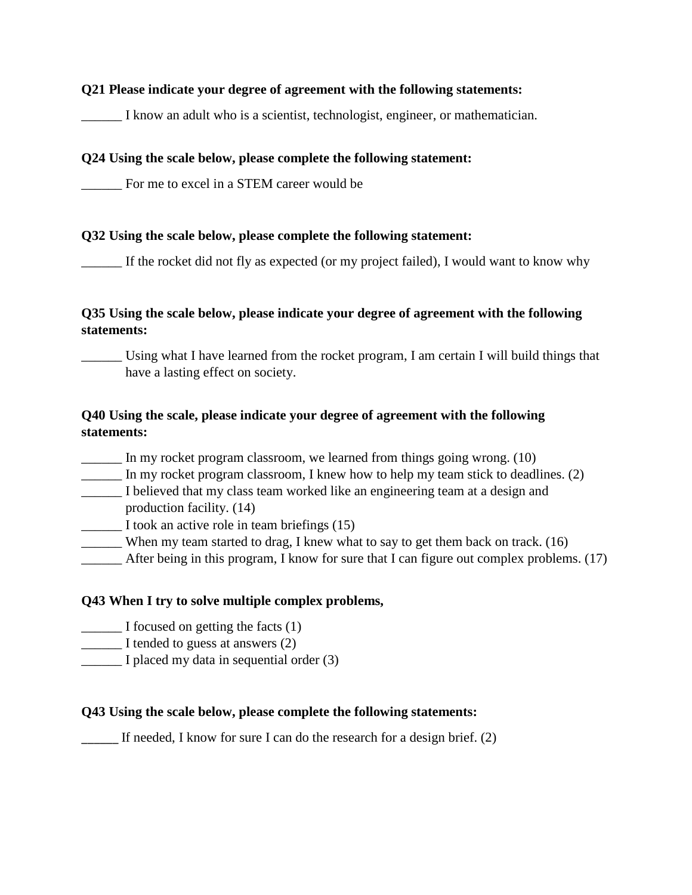#### **Q21 Please indicate your degree of agreement with the following statements:**

I know an adult who is a scientist, technologist, engineer, or mathematician.

#### **Q24 Using the scale below, please complete the following statement:**

\_\_\_\_\_\_ For me to excel in a STEM career would be

#### **Q32 Using the scale below, please complete the following statement:**

\_\_\_\_\_\_ If the rocket did not fly as expected (or my project failed), I would want to know why

## **Q35 Using the scale below, please indicate your degree of agreement with the following statements:**

Using what I have learned from the rocket program, I am certain I will build things that have a lasting effect on society.

## **Q40 Using the scale, please indicate your degree of agreement with the following statements:**

\_\_\_\_\_\_ In my rocket program classroom, we learned from things going wrong. (10)

- \_\_\_\_\_\_ In my rocket program classroom, I knew how to help my team stick to deadlines. (2)
- \_\_\_\_\_\_ I believed that my class team worked like an engineering team at a design and production facility. (14)

\_\_\_\_\_\_ I took an active role in team briefings (15)

- When my team started to drag, I knew what to say to get them back on track.  $(16)$
- \_\_\_\_\_\_ After being in this program, I know for sure that I can figure out complex problems. (17)

### **Q43 When I try to solve multiple complex problems,**

- \_\_\_\_\_\_ I focused on getting the facts (1)
- I tended to guess at answers (2)
- I placed my data in sequential order (3)

### **Q43 Using the scale below, please complete the following statements:**

If needed, I know for sure I can do the research for a design brief.  $(2)$